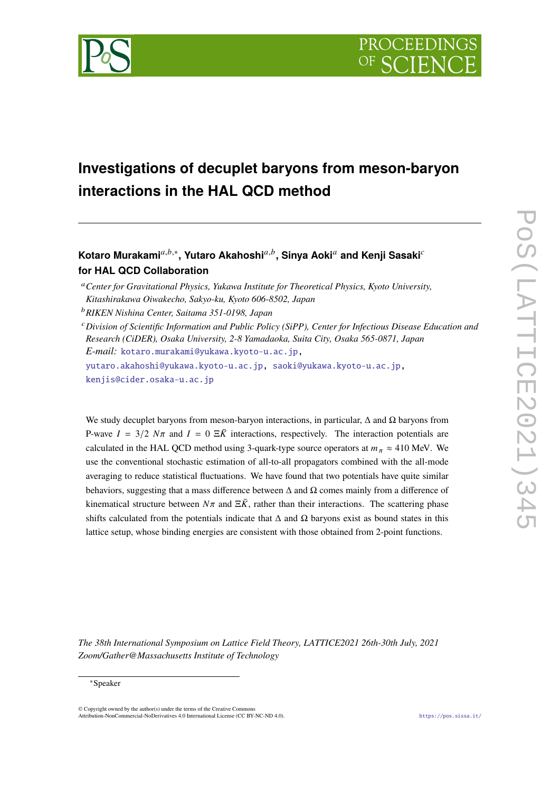

# **Investigations of decuplet baryons from meson-baryon interactions in the HAL QCD method**

# Kotaro Murakami<sup>a,b,</sup>∗, Yutaro Akahoshi<sup>a,b</sup>, Sinya Aoki<sup>a</sup> and Kenji Sasaki<sup>c</sup> **for HAL QCD Collaboration**

*Division of Scientific Information and Public Policy (SiPP), Center for Infectious Disease Education and Research (CiDER), Osaka University, 2-8 Yamadaoka, Suita City, Osaka 565-0871, Japan E-mail:* [kotaro.murakami@yukawa.kyoto-u.ac.jp,](mailto:kotaro.murakami@yukawa.kyoto-u.ac.jp) [yutaro.akahoshi@yukawa.kyoto-u.ac.jp,](mailto:yutaro.akahoshi@yukawa.kyoto-u.ac.jp) [saoki@yukawa.kyoto-u.ac.jp,](mailto:saoki@yukawa.kyoto-u.ac.jp) [kenjis@cider.osaka-u.ac.jp](mailto:kenjis@cider.osaka-u.ac.jp)

We study decuplet baryons from meson-baryon interactions, in particular,  $\Delta$  and  $\Omega$  baryons from P-wave  $I = 3/2$   $N\pi$  and  $I = 0 \Xi \overline{K}$  interactions, respectively. The interaction potentials are calculated in the HAL QCD method using 3-quark-type source operators at  $m_{\pi} \approx 410$  MeV. We use the conventional stochastic estimation of all-to-all propagators combined with the all-mode averaging to reduce statistical fluctuations. We have found that two potentials have quite similar behaviors, suggesting that a mass difference between  $\Delta$  and  $\Omega$  comes mainly from a difference of kinematical structure between  $N\pi$  and  $\Xi\bar{K}$ , rather than their interactions. The scattering phase shifts calculated from the potentials indicate that  $\Delta$  and  $\Omega$  baryons exist as bound states in this lattice setup, whose binding energies are consistent with those obtained from 2-point functions.

*The 38th International Symposium on Lattice Field Theory, LATTICE2021 26th-30th July, 2021 Zoom/Gather@Massachusetts Institute of Technology*

#### <sup>∗</sup>Speaker

 $\odot$  Copyright owned by the author(s) under the terms of the Creative Common Attribution-NonCommercial-NoDerivatives 4.0 International License (CC BY-NC-ND 4.0). <https://pos.sissa.it/>

*Center for Gravitational Physics, Yukawa Institute for Theoretical Physics, Kyoto University, Kitashirakawa Oiwakecho, Sakyo-ku, Kyoto 606-8502, Japan*

*RIKEN Nishina Center, Saitama 351-0198, Japan*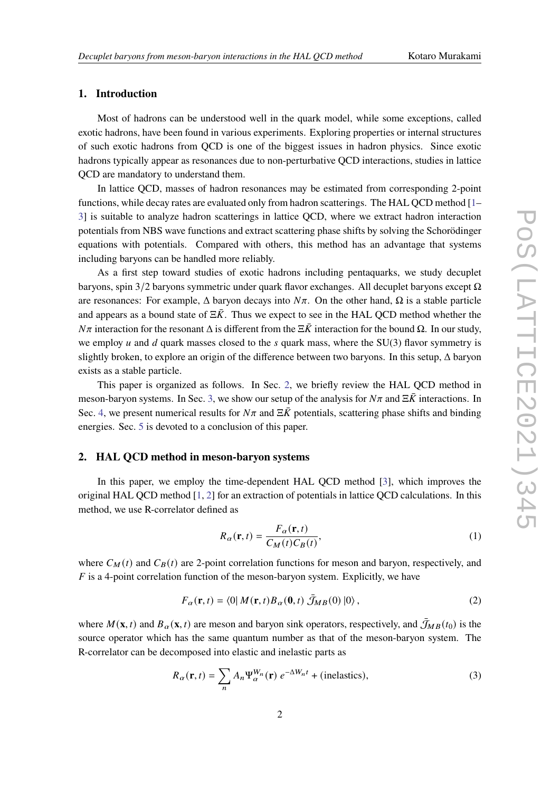# **1. Introduction**

Most of hadrons can be understood well in the quark model, while some exceptions, called exotic hadrons, have been found in various experiments. Exploring properties or internal structures of such exotic hadrons from QCD is one of the biggest issues in hadron physics. Since exotic hadrons typically appear as resonances due to non-perturbative QCD interactions, studies in lattice QCD are mandatory to understand them.

In lattice QCD, masses of hadron resonances may be estimated from corresponding 2-point functions, while decay rates are evaluated only from hadron scatterings. The HAL QCD method [\[1–](#page-7-0) [3\]](#page-7-1) is suitable to analyze hadron scatterings in lattice QCD, where we extract hadron interaction potentials from NBS wave functions and extract scattering phase shifts by solving the Schorödinger equations with potentials. Compared with others, this method has an advantage that systems including baryons can be handled more reliably.

As a first step toward studies of exotic hadrons including pentaquarks, we study decuplet baryons, spin 3/2 baryons symmetric under quark flavor exchanges. All decuplet baryons except  $\Omega$ are resonances: For example,  $\Delta$  baryon decays into  $N\pi$ . On the other hand,  $\Omega$  is a stable particle and appears as a bound state of  $\Xi \bar{K}$ . Thus we expect to see in the HAL QCD method whether the  $N\pi$  interaction for the resonant Δ is different from the  $\Xi \bar{K}$  interaction for the bound  $\Omega$ . In our study, we employ  $u$  and  $d$  quark masses closed to the  $s$  quark mass, where the SU(3) flavor symmetry is slightly broken, to explore an origin of the difference between two baryons. In this setup, Δ baryon exists as a stable particle.

This paper is organized as follows. In Sec. [2,](#page-1-0) we briefly review the HAL QCD method in meson-baryon systems. In Sec. [3,](#page-3-0) we show our setup of the analysis for  $N\pi$  and  $\Xi \bar{K}$  interactions. In Sec. [4,](#page-4-0) we present numerical results for  $N\pi$  and  $\Xi \bar{K}$  potentials, scattering phase shifts and binding energies. Sec. [5](#page-6-0) is devoted to a conclusion of this paper.

# <span id="page-1-0"></span>**2. HAL QCD method in meson-baryon systems**

In this paper, we employ the time-dependent HAL QCD method [\[3\]](#page-7-1), which improves the original HAL QCD method [\[1,](#page-7-0) [2\]](#page-7-2) for an extraction of potentials in lattice QCD calculations. In this method, we use R-correlator defined as

$$
R_{\alpha}(\mathbf{r},t) = \frac{F_{\alpha}(\mathbf{r},t)}{C_M(t)C_B(t)},
$$
\n(1)

where  $C_M(t)$  and  $C_B(t)$  are 2-point correlation functions for meson and baryon, respectively, and  $\overline{F}$  is a 4-point correlation function of the meson-baryon system. Explicitly, we have

$$
F_{\alpha}(\mathbf{r},t) = \langle 0| M(\mathbf{r},t) B_{\alpha}(0,t) \bar{\mathcal{J}}_{MB}(0) |0\rangle, \qquad (2)
$$

where  $M(\mathbf{x}, t)$  and  $B_\alpha(\mathbf{x}, t)$  are meson and baryon sink operators, respectively, and  $\bar{J}_{MB}(t_0)$  is the source operator which has the same quantum number as that of the meson-baryon system. The R-correlator can be decomposed into elastic and inelastic parts as

$$
R_{\alpha}(\mathbf{r},t) = \sum_{n} A_{n} \Psi_{\alpha}^{W_{n}}(\mathbf{r}) e^{-\Delta W_{n}t} + \text{(inelastics)},
$$
\n(3)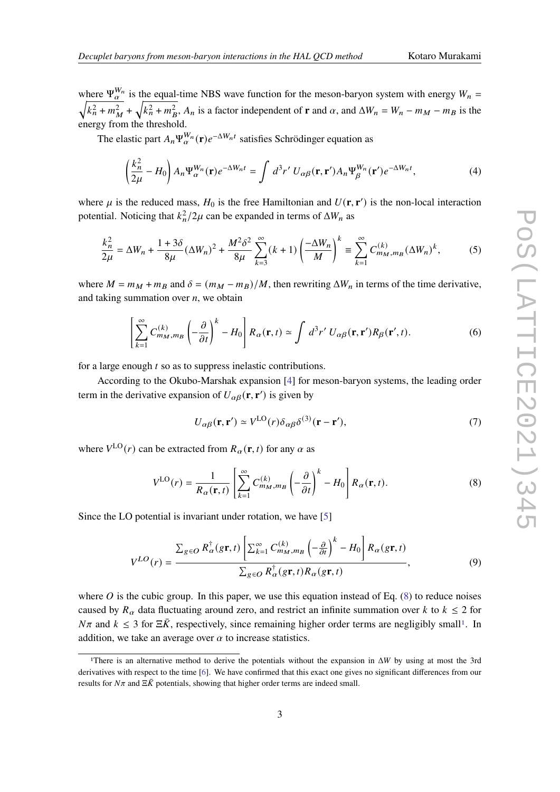where  $\Psi_{\alpha}^{W_n}$  is the equal-time NBS wave function for the meson-baryon system with energy  $W_n =$  $\sqrt{k_n^2 + m_M^2} + \sqrt{k_n^2 + m_B^2}$ ,  $A_n$  is a factor independent of **r** and  $\alpha$ , and  $\Delta W_n = W_n - m_M - m_B$  is the energy from the threshold.

The elastic part  $A_n \Psi_\alpha^{W_n}(\mathbf{r}) e^{-\Delta W_n t}$  satisfies Schrödinger equation as

$$
\left(\frac{k_n^2}{2\mu} - H_0\right) A_n \Psi_\alpha^{W_n}(\mathbf{r}) e^{-\Delta W_n t} = \int d^3 r' \ U_{\alpha\beta}(\mathbf{r}, \mathbf{r}') A_n \Psi_\beta^{W_n}(\mathbf{r}') e^{-\Delta W_n t},\tag{4}
$$

where  $\mu$  is the reduced mass,  $H_0$  is the free Hamiltonian and  $U(\mathbf{r}, \mathbf{r}')$  is the non-local interaction potential. Noticing that  $k_n^2/2\mu$  can be expanded in terms of  $\Delta W_n$  as

$$
\frac{k_n^2}{2\mu} = \Delta W_n + \frac{1+3\delta}{8\mu} (\Delta W_n)^2 + \frac{M^2 \delta^2}{8\mu} \sum_{k=3}^{\infty} (k+1) \left(\frac{-\Delta W_n}{M}\right)^k \equiv \sum_{k=1}^{\infty} C_{m_M, m_B}^{(k)} (\Delta W_n)^k, \tag{5}
$$

where  $M = m_M + m_B$  and  $\delta = (m_M - m_B)/M$ , then rewriting  $\Delta W_n$  in terms of the time derivative, and taking summation over  $n$ , we obtain

$$
\left[\sum_{k=1}^{\infty} C_{m_M, m_B}^{(k)} \left(-\frac{\partial}{\partial t}\right)^k - H_0\right] R_{\alpha}(\mathbf{r}, t) \simeq \int d^3 r' \ U_{\alpha\beta}(\mathbf{r}, \mathbf{r}') R_{\beta}(\mathbf{r}', t). \tag{6}
$$

for a large enough  $t$  so as to suppress inelastic contributions.

According to the Okubo-Marshak expansion [\[4\]](#page-7-3) for meson-baryon systems, the leading order term in the derivative expansion of  $U_{\alpha\beta}(\mathbf{r}, \mathbf{r}')$  is given by

$$
U_{\alpha\beta}(\mathbf{r}, \mathbf{r}') \simeq V^{\text{LO}}(r)\delta_{\alpha\beta}\delta^{(3)}(\mathbf{r} - \mathbf{r}'),\tag{7}
$$

where  $V^{\text{LO}}(r)$  can be extracted from  $R_{\alpha}(\mathbf{r}, t)$  for any  $\alpha$  as

<span id="page-2-0"></span>
$$
V^{\text{LO}}(r) = \frac{1}{R_{\alpha}(\mathbf{r}, t)} \left[ \sum_{k=1}^{\infty} C_{m_M, m_B}^{(k)} \left( -\frac{\partial}{\partial t} \right)^k - H_0 \right] R_{\alpha}(\mathbf{r}, t). \tag{8}
$$

Since the LO potential is invariant under rotation, we have [\[5\]](#page-7-4)

<span id="page-2-2"></span>
$$
V^{LO}(r) = \frac{\sum_{g \in O} R_{\alpha}^{\dagger}(g\mathbf{r},t) \left[\sum_{k=1}^{\infty} C_{m_{M},m_{B}}^{(k)} \left(-\frac{\partial}{\partial t}\right)^{k} - H_{0}\right] R_{\alpha}(g\mathbf{r},t)}{\sum_{g \in O} R_{\alpha}^{\dagger}(g\mathbf{r},t) R_{\alpha}(g\mathbf{r},t)},
$$
\n(9)

where O is the cubic group. In this paper, we use this equation instead of Eq.  $(8)$  to reduce noises caused by  $R_{\alpha}$  data fluctuating around zero, and restrict an infinite summation over k to  $k \leq 2$  for  $N\pi$  and  $k \leq 3$  for  $\Xi \overline{K}$ , respectively, since remaining higher order terms are negligibly small<sup>[1](#page-2-1)</sup>. In addition, we take an average over  $\alpha$  to increase statistics.

<span id="page-2-1"></span><sup>&</sup>lt;sup>1</sup>There is an alternative method to derive the potentials without the expansion in  $\Delta W$  by using at most the 3rd derivatives with respect to the time [\[6\]](#page-7-5). We have confirmed that this exact one gives no significant differences from our results for  $N\pi$  and  $\Xi \bar{K}$  potentials, showing that higher order terms are indeed small.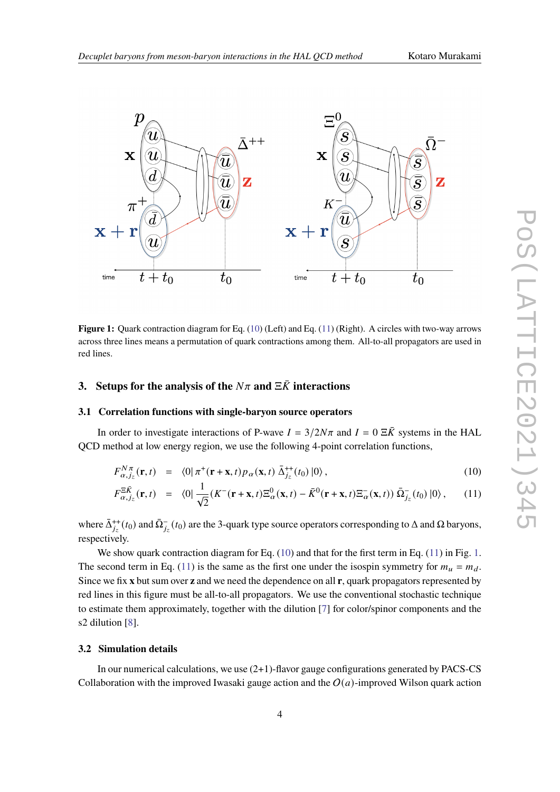<span id="page-3-2"></span>

**Figure 1:** Quark contraction diagram for Eq. [\(10\)](#page-3-1) (Left) and Eq. [\(11\)](#page-3-1) (Right). A circles with two-way arrows across three lines means a permutation of quark contractions among them. All-to-all propagators are used in red lines.

# <span id="page-3-0"></span>**3.** Setups for the analysis of the  $N\pi$  and  $\Xi \overline{K}$  interactions

#### **3.1 Correlation functions with single-baryon source operators**

In order to investigate interactions of P-wave  $I = 3/2N\pi$  and  $I = 0 \Xi \overline{K}$  systems in the HAL QCD method at low energy region, we use the following 4-point correlation functions,

<span id="page-3-1"></span>
$$
F_{\alpha,j_z}^{N\pi}(\mathbf{r},t) = \langle 0|\pi^+(\mathbf{r}+\mathbf{x},t)p_\alpha(\mathbf{x},t)\,\bar{\Delta}_{j_z}^{++}(t_0)|0\rangle\,,\tag{10}
$$

$$
F_{\alpha,j_z}^{\Xi \bar{K}}(\mathbf{r},t) = \langle 0 | \frac{1}{\sqrt{2}} (K^-(\mathbf{r}+\mathbf{x},t) \Xi_\alpha^0(\mathbf{x},t) - \bar{K}^0(\mathbf{r}+\mathbf{x},t) \Xi_\alpha^-(\mathbf{x},t) \rangle \,\bar{\Omega}_{j_z}^-(t_0) \,|0\rangle \,, \tag{11}
$$

where  $\bar{\Delta}_{j_z}^{++}(t_0)$  and  $\bar{\Omega}_{j_z}^{-}(t_0)$  are the 3-quark type source operators corresponding to  $\Delta$  and  $\Omega$  baryons, respectively.

We show quark contraction diagram for Eq. [\(10\)](#page-3-1) and that for the first term in Eq. [\(11\)](#page-3-1) in Fig. [1.](#page-3-2) The second term in Eq. [\(11\)](#page-3-1) is the same as the first one under the isospin symmetry for  $m_u = m_d$ . Since we fix **x** but sum over **z** and we need the dependence on all **r**, quark propagators represented by red lines in this figure must be all-to-all propagators. We use the conventional stochastic technique to estimate them approximately, together with the dilution [\[7\]](#page-7-6) for color/spinor components and the s2 dilution [\[8\]](#page-7-7).

#### **3.2 Simulation details**

In our numerical calculations, we use  $(2+1)$ -flavor gauge configurations generated by PACS-CS Collaboration with the improved Iwasaki gauge action and the  $O(a)$ -improved Wilson quark action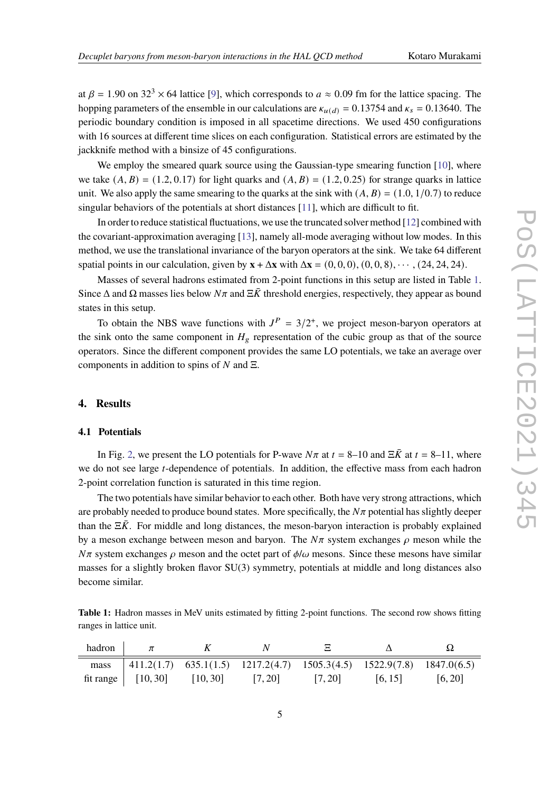at  $\beta = 1.90$  on  $32<sup>3</sup> \times 64$  lattice [\[9\]](#page-7-8), which corresponds to  $a \approx 0.09$  fm for the lattice spacing. The hopping parameters of the ensemble in our calculations are  $\kappa_{u(d)} = 0.13754$  and  $\kappa_s = 0.13640$ . The periodic boundary condition is imposed in all spacetime directions. We used 450 configurations with 16 sources at different time slices on each configuration. Statistical errors are estimated by the jackknife method with a binsize of 45 configurations.

We employ the smeared quark source using the Gaussian-type smearing function [\[10\]](#page-7-9), where we take  $(A, B) = (1.2, 0.17)$  for light quarks and  $(A, B) = (1.2, 0.25)$  for strange quarks in lattice unit. We also apply the same smearing to the quarks at the sink with  $(A, B) = (1.0, 1/0.7)$  to reduce singular behaviors of the potentials at short distances [\[11\]](#page-7-10), which are difficult to fit.

In order to reduce statistical fluctuations, we use the truncated solver method [\[12\]](#page-8-0) combined with the covariant-approximation averaging [\[13\]](#page-8-1), namely all-mode averaging without low modes. In this method, we use the translational invariance of the baryon operators at the sink. We take 64 different spatial points in our calculation, given by  $\mathbf{x} + \Delta \mathbf{x}$  with  $\Delta \mathbf{x} = (0, 0, 0), (0, 0, 8), \cdots, (24, 24, 24)$ .

Masses of several hadrons estimated from 2-point functions in this setup are listed in Table [1.](#page-4-1) Since  $\Delta$  and  $\Omega$  masses lies below  $N\pi$  and  $\Xi \bar{K}$  threshold energies, respectively, they appear as bound states in this setup.

To obtain the NBS wave functions with  $J<sup>P</sup> = 3/2<sup>+</sup>$ , we project meson-baryon operators at the sink onto the same component in  $H<sub>g</sub>$  representation of the cubic group as that of the source operators. Since the different component provides the same LO potentials, we take an average over components in addition to spins of  $N$  and  $\Xi$ .

## <span id="page-4-0"></span>**4. Results**

#### **4.1 Potentials**

In Fig. [2,](#page-5-0) we present the LO potentials for P-wave  $N\pi$  at  $t = 8-10$  and  $\Xi \bar{K}$  at  $t = 8-11$ , where we do not see large *t*-dependence of potentials. In addition, the effective mass from each hadron 2-point correlation function is saturated in this time region.

The two potentials have similar behavior to each other. Both have very strong attractions, which are probably needed to produce bound states. More specifically, the  $N\pi$  potential has slightly deeper than the  $\Xi \bar{K}$ . For middle and long distances, the meson-baryon interaction is probably explained by a meson exchange between meson and baryon. The  $N\pi$  system exchanges  $\rho$  meson while the  $N\pi$  system exchanges  $\rho$  meson and the octet part of  $\phi/\omega$  mesons. Since these mesons have similar masses for a slightly broken flavor SU(3) symmetry, potentials at middle and long distances also become similar.

<span id="page-4-1"></span>**Table 1:** Hadron masses in MeV units estimated by fitting 2-point functions. The second row shows fitting ranges in lattice unit.

| hadron |                                                           |                                                                               |         |         |         |
|--------|-----------------------------------------------------------|-------------------------------------------------------------------------------|---------|---------|---------|
|        |                                                           | mass $ 411.2(1.7)$ 635.1(1.5) 1217.2(4.7) 1505.3(4.5) 1522.9(7.8) 1847.0(6.5) |         |         |         |
|        | fit range $\begin{bmatrix} 10, 30 \end{bmatrix}$ [10, 30] | [7, 20]                                                                       | [7, 20] | [6, 15] | [6, 20] |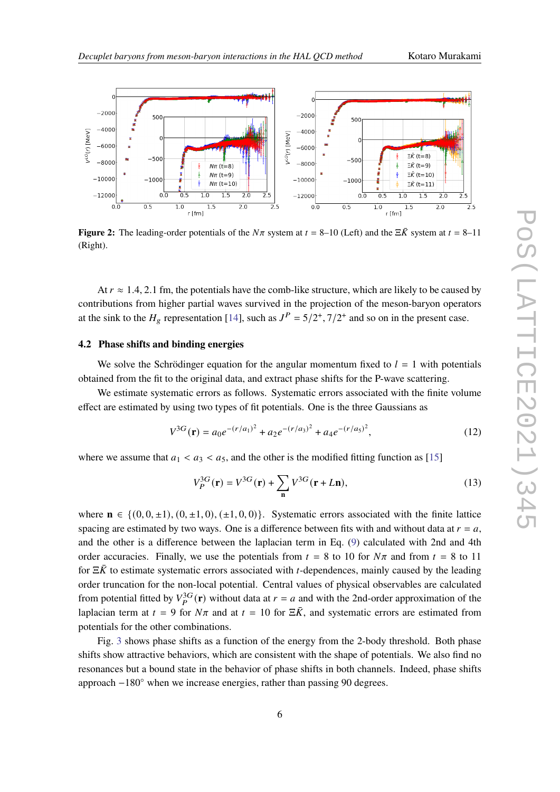<span id="page-5-0"></span>

**Figure 2:** The leading-order potentials of the  $N\pi$  system at  $t = 8-10$  (Left) and the Ξ $\bar{K}$  system at  $t = 8-11$ (Right).

At  $r \approx 1.4, 2.1$  fm, the potentials have the comb-like structure, which are likely to be caused by contributions from higher partial waves survived in the projection of the meson-baryon operators at the sink to the  $H_g$  representation [\[14\]](#page-8-2), such as  $J^P = 5/2^+, 7/2^+$  and so on in the present case.

### **4.2 Phase shifts and binding energies**

We solve the Schrödinger equation for the angular momentum fixed to  $l = 1$  with potentials obtained from the fit to the original data, and extract phase shifts for the P-wave scattering.

We estimate systematic errors as follows. Systematic errors associated with the finite volume effect are estimated by using two types of fit potentials. One is the three Gaussians as

$$
V^{3G}(\mathbf{r}) = a_0 e^{-(r/a_1)^2} + a_2 e^{-(r/a_3)^2} + a_4 e^{-(r/a_5)^2},
$$
\n(12)

where we assume that  $a_1 < a_3 < a_5$ , and the other is the modified fitting function as [\[15\]](#page-8-3)

$$
V_P^{3G}(\mathbf{r}) = V^{3G}(\mathbf{r}) + \sum_{\mathbf{n}} V^{3G}(\mathbf{r} + L\mathbf{n}),\tag{13}
$$

where  $\mathbf{n} \in \{(0, 0, \pm 1), (0, \pm 1, 0), (\pm 1, 0, 0)\}\.$  Systematic errors associated with the finite lattice spacing are estimated by two ways. One is a difference between fits with and without data at  $r = a$ , and the other is a difference between the laplacian term in Eq. [\(9\)](#page-2-2) calculated with 2nd and 4th order accuracies. Finally, we use the potentials from  $t = 8$  to 10 for  $N\pi$  and from  $t = 8$  to 11 for  $\Xi \bar{K}$  to estimate systematic errors associated with *t*-dependences, mainly caused by the leading order truncation for the non-local potential. Central values of physical observables are calculated from potential fitted by  $V_P^{3G}(\mathbf{r})$  without data at  $r = a$  and with the 2nd-order approximation of the laplacian term at  $t = 9$  for  $N\pi$  and at  $t = 10$  for  $\Xi \overline{K}$ , and systematic errors are estimated from potentials for the other combinations.

Fig. [3](#page-6-1) shows phase shifts as a function of the energy from the 2-body threshold. Both phase shifts show attractive behaviors, which are consistent with the shape of potentials. We also find no resonances but a bound state in the behavior of phase shifts in both channels. Indeed, phase shifts approach −180◦ when we increase energies, rather than passing 90 degrees.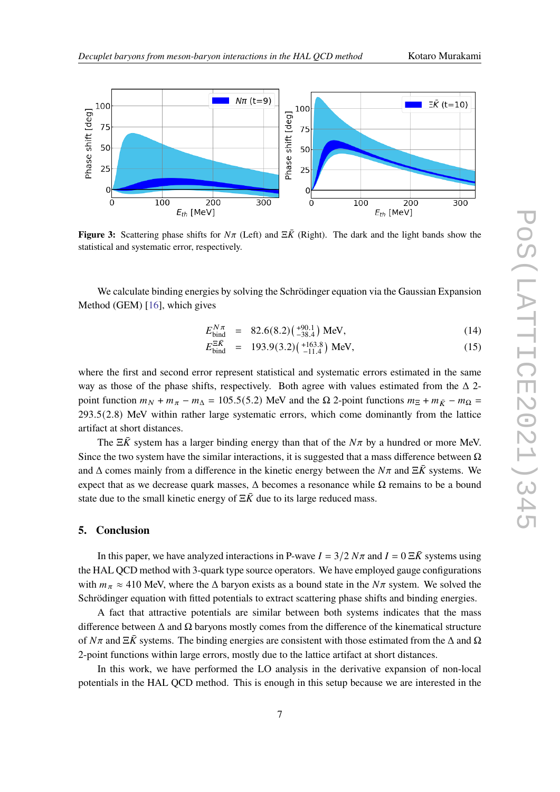<span id="page-6-1"></span>

**Figure 3:** Scattering phase shifts for  $N\pi$  (Left) and  $\Xi \overline{K}$  (Right). The dark and the light bands show the statistical and systematic error, respectively.

We calculate binding energies by solving the Schrödinger equation via the Gaussian Expansion Method (GEM) [\[16\]](#page-8-4), which gives

$$
E_{\text{bind}}^{N\pi} = 82.6(8.2) \left( {}_{-38.4}^{+90.1} \right) \text{MeV}, \tag{14}
$$

$$
E_{\text{bind}}^{\Xi \bar{K}} = 193.9(3.2) \left( {}_{-11.4}^{+163.8} \right) \text{MeV}, \tag{15}
$$

where the first and second error represent statistical and systematic errors estimated in the same way as those of the phase shifts, respectively. Both agree with values estimated from the  $\Delta$  2point function  $m_N + m_{\pi} - m_{\Delta} = 105.5(5.2)$  MeV and the  $\Omega$  2-point functions  $m_{\Xi} + m_{\bar{K}} - m_{\Omega} =$ 293.5(2.8) MeV within rather large systematic errors, which come dominantly from the lattice artifact at short distances.

The  $\Xi \bar{K}$  system has a larger binding energy than that of the  $N\pi$  by a hundred or more MeV. Since the two system have the similar interactions, it is suggested that a mass difference between  $\Omega$ and  $\Delta$  comes mainly from a difference in the kinetic energy between the  $N\pi$  and  $\Xi \bar{K}$  systems. We expect that as we decrease quark masses,  $\Delta$  becomes a resonance while  $\Omega$  remains to be a bound state due to the small kinetic energy of  $\Xi \bar{K}$  due to its large reduced mass.

# <span id="page-6-0"></span>**5. Conclusion**

In this paper, we have analyzed interactions in P-wave  $I = 3/2 N \pi$  and  $I = 0 \Xi \overline{K}$  systems using the HAL QCD method with 3-quark type source operators. We have employed gauge configurations with  $m_{\pi} \approx 410$  MeV, where the  $\Delta$  baryon exists as a bound state in the  $N\pi$  system. We solved the Schrödinger equation with fitted potentials to extract scattering phase shifts and binding energies.

A fact that attractive potentials are similar between both systems indicates that the mass difference between  $\Delta$  and  $\Omega$  baryons mostly comes from the difference of the kinematical structure of  $N\pi$  and  $\Xi\bar{K}$  systems. The binding energies are consistent with those estimated from the  $\Delta$  and  $\Omega$ 2-point functions within large errors, mostly due to the lattice artifact at short distances.

In this work, we have performed the LO analysis in the derivative expansion of non-local potentials in the HAL QCD method. This is enough in this setup because we are interested in the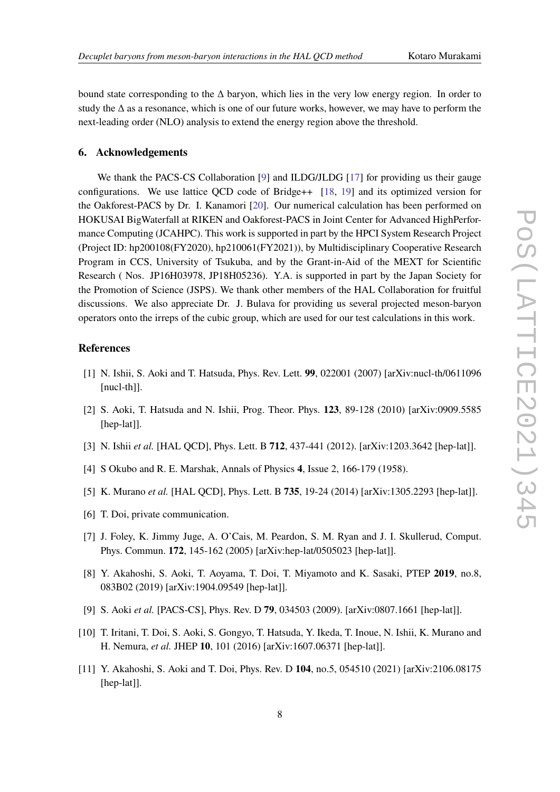bound state corresponding to the  $\Delta$  baryon, which lies in the very low energy region. In order to study the  $\Delta$  as a resonance, which is one of our future works, however, we may have to perform the next-leading order (NLO) analysis to extend the energy region above the threshold.

#### **6. Acknowledgements**

We thank the PACS-CS Collaboration [\[9\]](#page-7-8) and ILDG/JLDG [\[17\]](#page-8-5) for providing us their gauge configurations. We use lattice QCD code of Bridge++ [\[18,](#page-8-6) [19\]](#page-8-7) and its optimized version for the Oakforest-PACS by Dr. I. Kanamori [\[20\]](#page-8-8). Our numerical calculation has been performed on HOKUSAI BigWaterfall at RIKEN and Oakforest-PACS in Joint Center for Advanced HighPerformance Computing (JCAHPC). This work is supported in part by the HPCI System Research Project (Project ID: hp200108(FY2020), hp210061(FY2021)), by Multidisciplinary Cooperative Research Program in CCS, University of Tsukuba, and by the Grant-in-Aid of the MEXT for Scientific Research ( Nos. JP16H03978, JP18H05236). Y.A. is supported in part by the Japan Society for the Promotion of Science (JSPS). We thank other members of the HAL Collaboration for fruitful discussions. We also appreciate Dr. J. Bulava for providing us several projected meson-baryon operators onto the irreps of the cubic group, which are used for our test calculations in this work.

# **References**

- <span id="page-7-0"></span>[1] N. Ishii, S. Aoki and T. Hatsuda, Phys. Rev. Lett. **99**, 022001 (2007) [arXiv:nucl-th/0611096 [nucl-th]].
- <span id="page-7-2"></span>[2] S. Aoki, T. Hatsuda and N. Ishii, Prog. Theor. Phys. **123**, 89-128 (2010) [arXiv:0909.5585 [hep-lat]].
- <span id="page-7-1"></span>[3] N. Ishii *et al.* [HAL QCD], Phys. Lett. B **712**, 437-441 (2012). [arXiv:1203.3642 [hep-lat]].
- <span id="page-7-3"></span>[4] S Okubo and R. E. Marshak, Annals of Physics **4**, Issue 2, 166-179 (1958).
- <span id="page-7-4"></span>[5] K. Murano *et al.* [HAL QCD], Phys. Lett. B **735**, 19-24 (2014) [arXiv:1305.2293 [hep-lat]].
- <span id="page-7-5"></span>[6] T. Doi, private communication.
- <span id="page-7-6"></span>[7] J. Foley, K. Jimmy Juge, A. O'Cais, M. Peardon, S. M. Ryan and J. I. Skullerud, Comput. Phys. Commun. **172**, 145-162 (2005) [arXiv:hep-lat/0505023 [hep-lat]].
- <span id="page-7-7"></span>[8] Y. Akahoshi, S. Aoki, T. Aoyama, T. Doi, T. Miyamoto and K. Sasaki, PTEP **2019**, no.8, 083B02 (2019) [arXiv:1904.09549 [hep-lat]].
- <span id="page-7-8"></span>[9] S. Aoki *et al.* [PACS-CS], Phys. Rev. D **79**, 034503 (2009). [arXiv:0807.1661 [hep-lat]].
- <span id="page-7-9"></span>[10] T. Iritani, T. Doi, S. Aoki, S. Gongyo, T. Hatsuda, Y. Ikeda, T. Inoue, N. Ishii, K. Murano and H. Nemura, *et al.* JHEP **10**, 101 (2016) [arXiv:1607.06371 [hep-lat]].
- <span id="page-7-10"></span>[11] Y. Akahoshi, S. Aoki and T. Doi, Phys. Rev. D **104**, no.5, 054510 (2021) [arXiv:2106.08175 [hep-lat]].